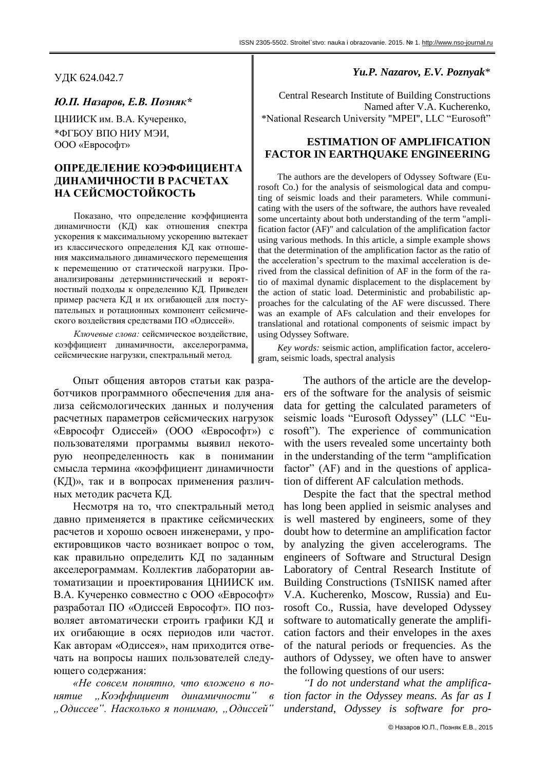УДК 624.042.7

## *Ю.П. Назаров, Е.В. Позняк\**

ЦНИИСК им. В.А. Кучеренко, \*ФГБОУ ВПО НИУ МЭИ, ООО «Еврософт»

# **ОПРЕДЕЛЕНИЕ КОЭФФИЦИЕНТА ДИНАМИЧНОСТИ В РАСЧЕТАХ НА СЕЙСМОСТОЙКОСТЬ**

Показано, что определение коэффициента динамичности (КД) как отношения спектра ускорения к максимальному ускорению вытекает из классического определения КД как отношения максимального динамического перемещения к перемещению от статической нагрузки. Проанализированы детерминистический и вероятностный подходы к определению КД. Приведен пример расчета КД и их огибающей для поступательных и ротационных компонент сейсмического воздействия средствами ПО «Одиссей».

*Ключевые слова:* сейсмическое воздействие, коэффициент динамичности, акселерограмма, сейсмические нагрузки, спектральный метод.

Опыт общения авторов статьи как разработчиков программного обеспечения для анализа сейсмологических данных и получения расчетных параметров сейсмических нагрузок «Еврософт Одиссей» (ООО «Еврософт») с пользователями программы выявил некоторую неопределенность как в понимании смысла термина «коэффициент динамичности (КД)», так и в вопросах применения различных методик расчета КД.

Несмотря на то, что спектральный метод давно применяется в практике сейсмических расчетов и хорошо освоен инженерами, у проектировщиков часто возникает вопрос о том, как правильно определить КД по заданным акселерограммам. Коллектив лаборатории автоматизации и проектирования ЦНИИСК им. В.А. Кучеренко совместно с ООО «Еврософт» разработал ПО «Одиссей Еврософт». ПО позволяет автоматически строить графики КД и их огибающие в осях периодов или частот. Как авторам «Одиссея», нам приходится отвечать на вопросы наших пользователей следующего содержания:

*«Не совсем понятно, что вложено в понятие "Коэффициент динамичности" в "Одиссее". Насколько я понимаю, "Одиссей"*

## *Yu.P. Nazarov, E.V. Poznyak*\*

Central Research Institute of Building Constructions Named after V.A. Kucherenko, \*National Research University "MPEI", LLC "Eurosoft"

## **ESTIMATION OF AMPLIFICATION FACTOR IN EARTHQUAKE ENGINEERING**

The authors are the developers of Odyssey Software (Eurosoft Co.) for the analysis of seismological data and computing of seismic loads and their parameters. While communicating with the users of the software, the authors have revealed some uncertainty about both understanding of the term "amplification factor (AF)" and calculation of the amplification factor using various methods. In this article, a simple example shows that the determination of the amplification factor as the ratio of the acceleration's spectrum to the maximal acceleration is derived from the classical definition of AF in the form of the ratio of maximal dynamic displacement to the displacement by the action of static load. Deterministic and probabilistic approaches for the calculating of the AF were discussed. There was an example of AFs calculation and their envelopes for translational and rotational components of seismic impact by using Odyssey Software.

*Key words:* seismic action, amplification factor, accelerogram, seismic loads, spectral analysis

> The authors of the article are the developers of the software for the analysis of seismic data for getting the calculated parameters of seismic loads "Eurosoft Odyssey" (LLC "Eurosoft"). The experience of communication with the users revealed some uncertainty both in the understanding of the term "amplification" factor"  $(AF)$  and in the questions of application of different AF calculation methods.

> Despite the fact that the spectral method has long been applied in seismic analyses and is well mastered by engineers, some of they doubt how to determine an amplification factor by analyzing the given accelerograms. The engineers of Software and Structural Design Laboratory of Central Research Institute of Building Constructions (TsNIISK named after V.A. Kucherenko, Moscow, Russia) and Eurosoft Co., Russia, have developed Odyssey software to automatically generate the amplification factors and their envelopes in the axes of the natural periods or frequencies. As the authors of Odyssey, we often have to answer the following questions of our users:

> *"I do not understand what the amplification factor in the Odyssey means. As far as I understand, Odyssey is software for pro-*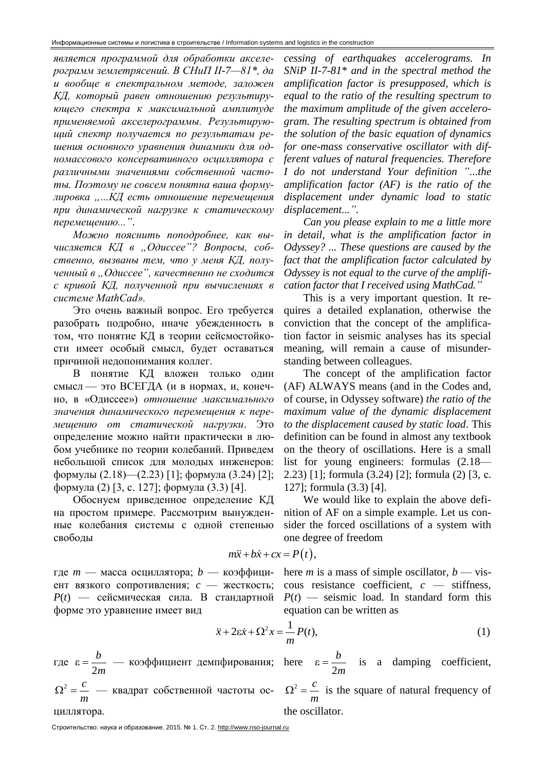является программой для обработки акселерограмм землетрясений. В СНиП II-7-81\*, да и вообще в спектральном методе, заложен КД, который равен отношению результирующего спектра к максимальной амплитуде применяемой акселерограммы. Результирующий спектр получается по результатам решения основного уравнения динамики для одномассового консервативного осциллятора с различными значениями собственной частоты. Поэтому не совсем понятна ваша формулировка "...КД есть отношение перемещения при динамической нагрузке к статическому перемещению...".

Можно пояснить поподробнее, как вычисляется КД в "Одиссее"? Вопросы, собственно, вызваны тем, что у меня КД, полученный в "Одиссее", качественно не сходится с кривой КД, полученной при вычислениях в cucmeme MathCad».

Это очень важный вопрос. Его требуется разобрать подробно, иначе убежденность в том, что понятие КД в теории сейсмостойкости имеет особый смысл, будет оставаться причиной недопонимания коллег.

В понятие КД вложен только один смысл — это ВСЕГДА (и в нормах, и, конечно, в «Одиссее») отношение максимального значения динамического перемещения к перемещению от статической нагрузки. Это определение можно найти практически в любом учебнике по теории колебаний. Приведем небольшой список для молодых инженеров: формулы (2.18)—(2.23) [1]; формула (3.24) [2]; формула (2) [3, с. 127]; формула (3.3) [4].

Обоснуем приведенное определение КД на простом примере. Рассмотрим вынужденные колебания системы с одной степенью свободы

cessing of earthquakes accelerograms. In SNiP II-7-81 $*$  and in the spectral method the amplification factor is presupposed, which is equal to the ratio of the resulting spectrum to the maximum amplitude of the given accelerogram. The resulting spectrum is obtained from the solution of the basic equation of dynamics for one-mass conservative oscillator with different values of natural frequencies. Therefore I do not understand Your definition "...the amplification factor  $(AF)$  is the ratio of the displacement under dynamic load to static displacement...".

Can you please explain to me a little more in detail, what is the amplification factor in Odyssey? ... These questions are caused by the fact that the amplification factor calculated by Odyssey is not equal to the curve of the amplification factor that I received using MathCad."

This is a very important question. It requires a detailed explanation, otherwise the conviction that the concept of the amplification factor in seismic analyses has its special meaning, will remain a cause of misunderstanding between colleagues.

The concept of the amplification factor (AF) ALWAYS means (and in the Codes and, of course, in Odyssey software) the ratio of the maximum value of the dynamic displacement to the displacement caused by static load. This definition can be found in almost any textbook on the theory of oscillations. Here is a small list for young engineers: formulas (2.18— 2.23) [1]; formula (3.24) [2]; formula (2) [3, c. 127; formula (3.3) [4].

We would like to explain the above definition of AF on a simple example. Let us consider the forced oscillations of a system with one degree of freedom

$$
m\ddot{x} + b\dot{x} + cx = P(t),
$$

где  $m$  — масса осциллятора;  $b$  — коэффициент вязкого сопротивления; с - жесткость;  $P(t)$  — сейсмическая сила. В стандартной форме это уравнение имеет вид

here *m* is a mass of simple oscillator,  $b$  — viscous resistance coefficient,  $c$  — stiffness,  $P(t)$  — seismic load. In standard form this equation can be written as

$$
\ddot{x} + 2\varepsilon \dot{x} + \Omega^2 x = \frac{1}{m} P(t),\tag{1}
$$

где  $\varepsilon = \frac{b}{2m}$  — коэффициент демпфирования; here  $\varepsilon = \frac{b}{2m}$  is a damping coefficient,

циллятора.

 $\Omega^2 = \frac{c}{m}$  — квадрат собственной частоты oc-  $\Omega^2 = \frac{c}{m}$  is the square of natural frequency of the oscillator.

Строительство: наука и образование. 2015. № 1. Ст. 2. http://www.nso-journal.ru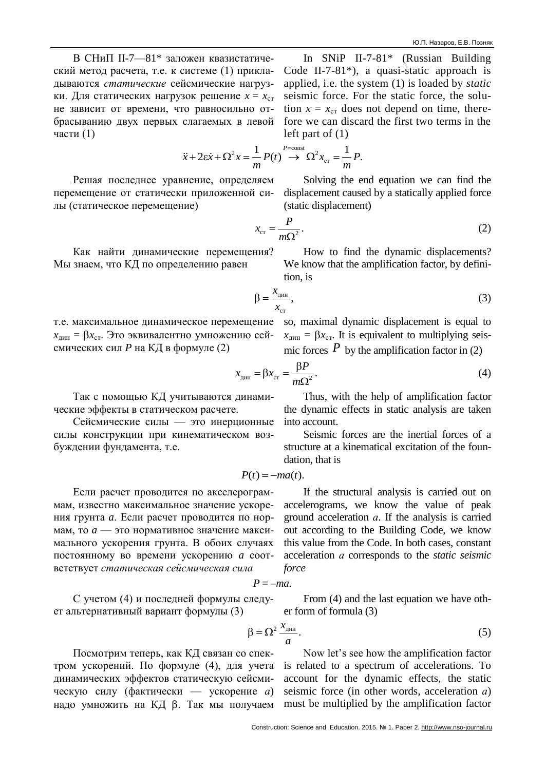В СНиП II-7—81\* заложен квазистатический метод расчета, т.е. к системе (1) прикладываются *статические* сейсмические нагрузки. Для статических нагрузок решение  $x = x_{cr}$ не зависит от времени, что равносильно отбрасыванию двух первых слагаемых в левой части (1)

left part of (1)  

$$
\ddot{x} + 2\varepsilon \dot{x} + \Omega^2 x = \frac{1}{m} P(t) \overset{P=\text{const}}{\rightarrow} \Omega^2 x_{\text{cr}} = \frac{1}{m} P.
$$

 $\equiv$ 

(static displacement)

Решая последнее уравнение, определяем перемещение от статически приложенной силы (статическое перемещение)

Как найти динамические перемещения? Мы знаем, что КД по определению равен

т.е. максимальное динамическое перемещение  $x_{\text{th}} = \beta x_{\text{cr}}$ . Это эквивалентно умножению сейсмических сил *P* на КД в формуле (2)

Так с помощью КД учитываются динамические эффекты в статическом расчете.

Сейсмические силы — это инерционные силы конструкции при кинематическом возбуждении фундамента, т.е.

Если расчет проводится по акселерограммам, известно максимальное значение ускорения грунта *a*. Если расчет проводится по нормам, то *a* — это нормативное значение максимального ускорения грунта. В обоих случаях постоянному во времени ускорению *a* соответствует *статическая сейсмическая сила*

$$
P=-ma.
$$

 $\beta$ 

С учетом (4) и последней формулы следует альтернативный вариант формулы (3)

From (4) and the last equation we have other form of formula (3)

$$
=\Omega^2\frac{x_{\text{atm}}}{a}.
$$
\n(5)

Посмотрим теперь, как КД связан со спектром ускорений. По формуле (4), для учета динамических эффектов статическую сейсмическую силу (фактически — ускорение *а*) надо умножить на КД  $\beta$ . Так мы получаем

Now let's see how the amplification factor is related to a spectrum of accelerations. To account for the dynamic effects, the static seismic force (in other words, acceleration *а*) must be multiplied by the amplification factor

 $x_{cr} = \frac{P}{mQ^2}.$ *m*  $\Omega$ (2) How to find the dynamic displacements? We know that the amplification factor, by definition, is

In SNiP II-7-81\* (Russian Building Code II-7-81\*), a quasi-static approach is applied, i.e. the system (1) is loaded by *static* seismic force. For the static force, the solution  $x = x_{cr}$  does not depend on time, therefore we can discard the first two terms in the

Solving the end equation we can find the displacement caused by a statically applied force

$$
\beta = \frac{x_{\text{atm}}}{x_{\text{cr}}},\tag{3}
$$

so, maximal dynamic displacement is equal to  $x_{\text{QHH}} = \beta x_{\text{CT}}$ . It is equivalent to multiplying seismic forces  $P$  by the amplification factor in (2)

$$
x_{\text{atm}} = \beta x_{\text{cr}} = \frac{\beta P}{m\Omega^2}.
$$
 (4)

Thus, with the help of amplification factor the dynamic effects in static analysis are taken into account.

Seismic forces are the inertial forces of a structure at a kinematical excitation of the foundation, that is

$$
P(t) = -ma(t).
$$

If the structural analysis is carried out on accelerograms, we know the value of peak

ground acceleration *а*. If the analysis is carried out according to the Building Code, we know this value from the Code. In both cases, constant acceleration *а* corresponds to the *static seismic force*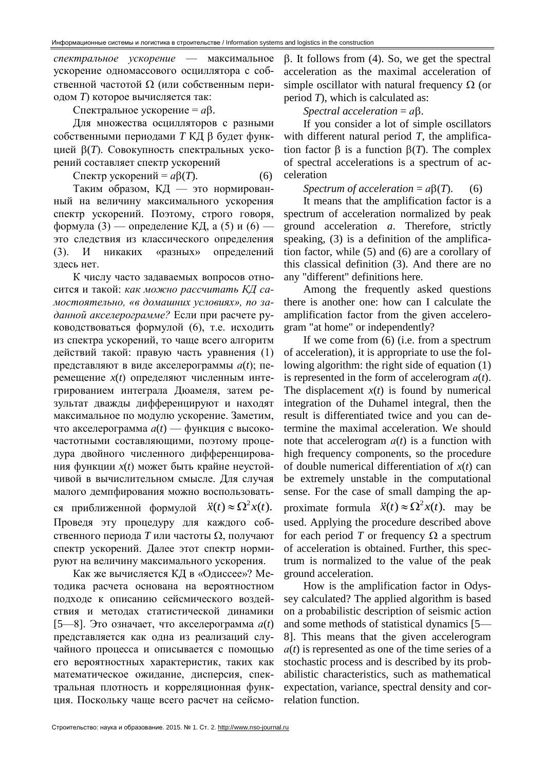спектральное ускорение -- максимальное ускорение одномассового осциллятора с собственной частотой  $\Omega$  (или собственным периодом Т) которое вычисляется так:

Спектральное ускорение =  $a\beta$ .

Для множества осцилляторов с разными собственными периодами Т КД В будет функцией  $\beta(T)$ . Совокупность спектральных ускорений составляет спектр ускорений

Спектр ускорений =  $a\beta(T)$ .  $(6)$ 

Таким образом, КД - это нормированный на величину максимального ускорения спектр ускорений. Поэтому, строго говоря, формула (3) — определение КД, а (5) и (6) это следствия из классического определения  $(3)$ . И «разных» определений никаких здесь нет.

К числу часто задаваемых вопросов относится и такой: как можно рассчитать КД самостоятельно, «в домашних условиях», по заданной акселерограмме? Если при расчете руководствоваться формулой (6), т.е. исходить из спектра ускорений, то чаще всего алгоритм действий такой: правую часть уравнения (1) представляют в виде акселерограммы  $a(t)$ ; перемещение  $x(t)$  определяют численным интегрированием интеграла Дюамеля, затем результат дважды дифференцируют и находят максимальное по модулю ускорение. Заметим, что акселерограмма  $a(t)$  — функция с высокочастотными составляющими, поэтому процедура двойного численного дифференцирования функции x(t) может быть крайне неустойчивой в вычислительном смысле. Для случая малого демпфирования можно воспользоваться приближенной формулой  $\ddot{x}(t) \approx \Omega^2 x(t)$ . Проведя эту процедуру для каждого собственного периода  $T$  или частоты  $\Omega$ , получают спектр ускорений. Далее этот спектр нормируют на величину максимального ускорения.

Как же вычисляется КД в «Одиссее»? Методика расчета основана на вероятностном подходе к описанию сейсмического воздействия и методах статистической динамики  $[5-8]$ . Это означает, что акселерограмма  $a(t)$ представляется как одна из реализаций случайного процесса и описывается с помощью его вероятностных характеристик, таких как математическое ожидание, дисперсия, спектральная плотность и корреляционная функция. Поскольку чаще всего расчет на сейсмо $\beta$ . It follows from (4). So, we get the spectral acceleration as the maximal acceleration of simple oscillator with natural frequency  $\Omega$  (or period  $T$ ), which is calculated as:

Spectral acceleration =  $a\beta$ .

If you consider a lot of simple oscillators with different natural period  $T$ , the amplification factor  $\beta$  is a function  $\beta(T)$ . The complex of spectral accelerations is a spectrum of acceleration

Spectrum of acceleration =  $a\beta(T)$ .  $(6)$ 

It means that the amplification factor is a spectrum of acceleration normalized by peak ground acceleration *a*. Therefore, strictly speaking, (3) is a definition of the amplification factor, while  $(5)$  and  $(6)$  are a corollary of this classical definition (3). And there are no any "different" definitions here.

Among the frequently asked questions there is another one: how can I calculate the amplification factor from the given accelerogram "at home" or independently?

If we come from  $(6)$  (i.e. from a spectrum of acceleration), it is appropriate to use the following algorithm: the right side of equation (1) is represented in the form of accelerogram  $a(t)$ . The displacement  $x(t)$  is found by numerical integration of the Duhamel integral, then the result is differentiated twice and you can determine the maximal acceleration. We should note that accelerogram  $a(t)$  is a function with high frequency components, so the procedure of double numerical differentiation of  $x(t)$  can be extremely unstable in the computational sense. For the case of small damping the approximate formula  $\ddot{x}(t) \approx \Omega^2 x(t)$ . may be used. Applying the procedure described above for each period T or frequency  $\Omega$  a spectrum of acceleration is obtained. Further, this spectrum is normalized to the value of the peak ground acceleration.

How is the amplification factor in Odyssey calculated? The applied algorithm is based on a probabilistic description of seismic action and some methods of statistical dynamics [5— 8]. This means that the given accelerogram  $a(t)$  is represented as one of the time series of a stochastic process and is described by its probabilistic characteristics, such as mathematical expectation, variance, spectral density and correlation function.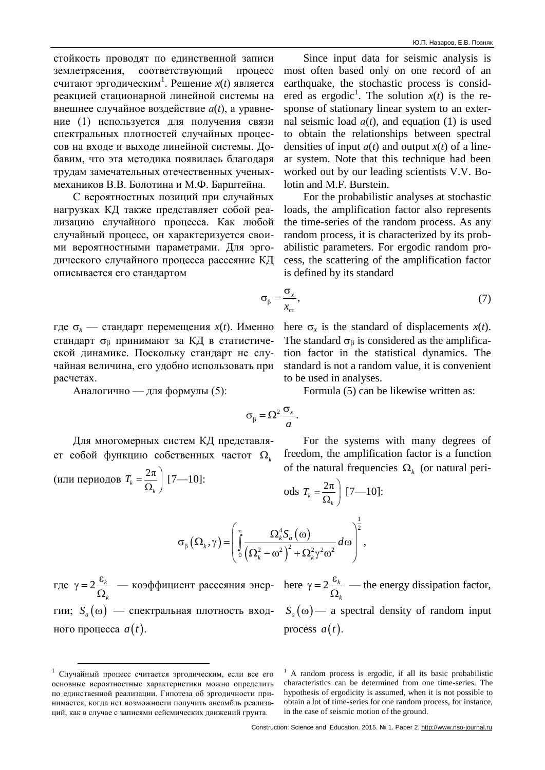стойкость проводят по единственной записи землетрясения, соответствующий процесс считают эргодическим<sup>1</sup>. Решение  $x(t)$  является реакцией стационарной линейной системы на внешнее случайное воздействие  $a(t)$ , а уравнение (1) используется для получения связи спектральных плотностей случайных процессов на входе и выходе линейной системы. Добавим, что эта методика появилась благодаря трудам замечательных отечественных ученыхмехаников В.В. Болотина и М.Ф. Барштейна.

С вероятностных позиций при случайных нагрузках КД также представляет собой реализацию случайного процесса. Как любой случайный процесс, он характеризуется своими вероятностными параметрами. Для эргодического случайного процесса рассеяние КД описывается его стандартом

Since input data for seismic analysis is most often based only on one record of an earthquake, the stochastic process is considered as ergodic<sup>1</sup>. The solution  $x(t)$  is the response of stationary linear system to an external seismic load  $a(t)$ , and equation (1) is used to obtain the relationships between spectral densities of input  $a(t)$  and output  $x(t)$  of a linear system. Note that this technique had been worked out by our leading scientists V.V. Bolotin and M.F. Burstein.

For the probabilistic analyses at stochastic loads, the amplification factor also represents the time-series of the random process. As any random process, it is characterized by its probabilistic parameters. For ergodic random process, the scattering of the amplification factor is defined by its standard

$$
\sigma_{\beta} = \frac{\sigma_x}{x_{cr}},\tag{7}
$$

где  $\sigma_x$  — стандарт перемещения  $x(t)$ . Именно стандарт  $\sigma_{\beta}$  принимают за КД в статистической динамике. Поскольку стандарт не случайная величина, его удобно использовать при расчетах.

Аналогично — для формулы (5):

here  $\sigma_x$  is the standard of displacements  $x(t)$ . The standard  $\sigma_{\beta}$  is considered as the amplification factor in the statistical dynamics. The standard is not a random value, it is convenient to be used in analyses.

Formula (5) can be likewise written as:

$$
\sigma_{\beta} = \Omega^2 \frac{\sigma_x}{a}.
$$

Для многомерных систем КД представляет собой функцию собственных частот  $\Omega_k$ (или периодов  $T_k = \frac{2\pi}{Q}$  [7—10]:

For the systems with many degrees of freedom, the amplification factor is a function of the natural frequencies  $\Omega_{\nu}$  (or natural peri-

ods  $T_k = \frac{2\pi}{\Omega}$  [7–10]:

$$
\sigma_{\beta}\left(\Omega_{k},\gamma\right) = \left(\int_{0}^{\infty} \frac{\Omega_{k}^{4} S_{a}\left(\omega\right)}{\left(\Omega_{k}^{2}-\omega^{2}\right)^{2}+\Omega_{k}^{2}\gamma^{2}\omega^{2}} d\omega\right)^{\frac{1}{2}},
$$

где  $\gamma = 2 \frac{\varepsilon_k}{\Omega}$  — коэффициент рассеяния энер- here  $\gamma = 2 \frac{\varepsilon_k}{\Omega_k}$  — the energy dissipation factor, гии;  $S_a(\omega)$  — спектральная плотность входного процесса  $a(t)$ .

 $S_a(\omega)$  a spectral density of random input process  $a(t)$ .

<sup>1</sup> Случайный процесс считается эргодическим, если все его основные вероятностные характеристики можно определить по единственной реализации. Гипотеза об эргодичности принимается, когда нет возможности получить ансамбль реализаций, как в случае с записями сейсмических движений грунта.

 $<sup>1</sup>$  A random process is ergodic, if all its basic probabilistic</sup> characteristics can be determined from one time-series. The hypothesis of ergodicity is assumed, when it is not possible to obtain a lot of time-series for one random process, for instance, in the case of seismic motion of the ground.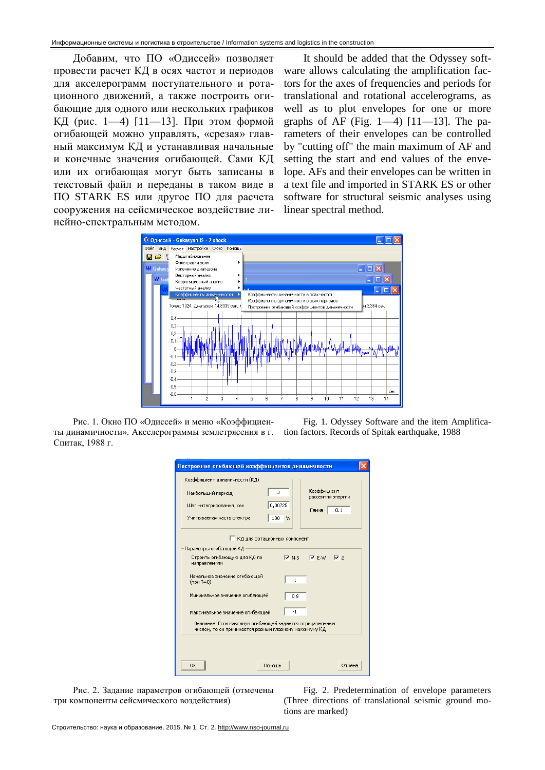Добавим, что ПО «Одиссей» позволяет провести расчет КД в осях частот и периодов для акселерограмм поступательного и ротационного движений, а также построить огибающие для одного или нескольких графиков КД (рис. 1—4) [11—13]. При этом формой огибающей можно управлять, «срезая» главный максимум КД и устанавливая начальные и конечные значения огибающей. Сами КД или их огибающая могут быть записаны в текстовый файл и переданы в таком виде в ПО [STARK](http://www.eurosoft.ru/) ES или другое ПО для расчета сооружения на сейсмическое воздействие линейно-спектральным методом.

It should be added that the Odyssey software allows calculating the amplification factors for the axes of frequencies and periods for translational and rotational accelerograms, as well as to plot envelopes for one or more graphs of AF (Fig. 1—4) [11—13]. The parameters of their envelopes can be controlled by "cutting off" the main maximum of AF and setting the start and end values of the envelope. AFs and their envelopes can be written in a text file and imported in STARK ES or other software for structural seismic analyses using linear spectral method.



Рис. 1. Окно ПО «Одиссей» и меню «Коэффициенты динамичности». Акселерограммы землетрясения в г. Спитак, 1988 г.

Fig. 1. Odyssey Software and the item Amplification factors. Records of Spitak earthquake, 1988

| 3<br>Наибольший период,<br>0,00725<br>Шаг интегрирования, сек<br>100<br>Учитываемая часть спектра                  | $\%$         | Коэффициент<br>рассеяния энергии<br>Гамма | 0.1 |
|--------------------------------------------------------------------------------------------------------------------|--------------|-------------------------------------------|-----|
| КД для ротационных компонент                                                                                       |              |                                           |     |
| Параметры огибающей КД                                                                                             |              |                                           |     |
| Строить огибающую для КД по<br>направлениям                                                                        |              | $\nabla$ N-S $\nabla$ E-W $\nabla$ Z      |     |
| Начальное значение огибающей<br>$(npM = 0)$                                                                        | $\mathbf{1}$ |                                           |     |
| Минимальное значение огибающей                                                                                     | 0.8          |                                           |     |
| Максимальное значение огибающей                                                                                    | $-1$         |                                           |     |
| Внимание! Если максимум огибающей задается отрицательным<br>числом, то он принимается равным главному максимуму КД |              |                                           |     |

Рис. 2. Задание параметров огибающей (отмечены три компоненты сейсмического воздействия)

Fig. 2. Predetermination of envelope parameters (Three directions of translational seismic ground motions are marked)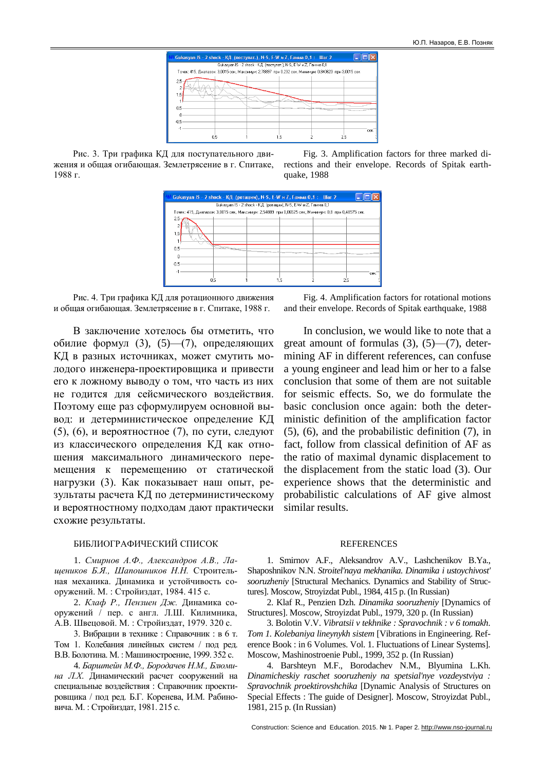

Рис. 3. Три графика КД для поступательного движения и общая огибающая. Землетрясение в г. Спитаке, 1988 г.

Fig. 3. Amplification factors for three marked directions and their envelope. Records of Spitak earthquake, 1988



Рис. 4. Три графика КД для ротационного движения и общая огибающая. Землетрясение в г. Спитаке, 1988 г.

В заключение хотелось бы отметить, что обилие формул (3), (5)—(7), определяющих КД в разных источниках, может смутить молодого инженера-проектировщика и привести его к ложному выводу о том, что часть из них не годится для сейсмического воздействия. Поэтому еще раз сформулируем основной вывод: и детерминистическое определение КД (5), (6), и вероятностное (7), по сути, следуют из классического определения КД как отношения максимального динамического перемещения к перемещению от статической нагрузки (3). Как показывает наш опыт, результаты расчета КД по детерминистическому и вероятностному подходам дают практически схожие результаты.

## БИБЛИОГРАФИЧЕСКИЙ СПИСОК

1. *Смирнов А.Ф., Александров А.В., Лащеников Б.Я., Шапошников Н.Н.* Строительная механика. Динамика и устойчивость сооружений. М. : Стройиздат, 1984. 415 с.

2. *Клаф Р., Пензиен Дж.* Динамика сооружений / пер. с англ. Л.Ш. Килимника, А.В. Швецовой. М. : Стройиздат, 1979. 320 с.

3. Вибрации в технике : Справочник : в 6 т. Том 1. Колебания линейных систем / под ред. В.В. Болотина. М. : Машиностроение, 1999. 352 с.

4. *Барштейн М.Ф., Бородачев Н.М., Блюмина Л.Х*. Динамический расчет сооружений на специальные воздействия : Справочник проектировщика / под ред. Б.Г. Коренева, И.М. Рабиновича. М. : Стройиздат, 1981. 215 с.

Fig. 4. Amplification factors for rotational motions and their envelope. Records of Spitak earthquake, 1988

In conclusion, we would like to note that a great amount of formulas  $(3)$ ,  $(5)$ — $(7)$ , determining AF in different references, can confuse a young engineer and lead him or her to a false conclusion that some of them are not suitable for seismic effects. So, we do formulate the basic conclusion once again: both the deterministic definition of the amplification factor (5), (6), and the probabilistic definition (7), in fact, follow from classical definition of AF as the ratio of maximal dynamic displacement to the displacement from the static load (3). Our experience shows that the deterministic and probabilistic calculations of AF give almost similar results.

### **REFERENCES**

1. Smirnov A.F., Aleksandrov A.V., Lashchenikov B.Ya., Shaposhnikov N.N. *Stroitel'naya mekhanika. Dinamika i ustoychivost' sooruzheniy* [Structural Mechanics. Dynamics and Stability of Structures]. Moscow, Stroyizdat Publ., 1984, 415 p. (In Russian)

2. Klaf R., Penzien Dzh. *Dinamika sooruzheniy* [Dynamics of Structures]. Moscow, Stroyizdat Publ., 1979, 320 p. (In Russian)

3. Bolotin V.V. *Vibratsii v tekhnike : Spravochnik : v 6 tomakh. Tom 1. Kolebaniya lineynykh sistem* [Vibrations in Engineering. Reference Book : in 6 Volumes. Vol. 1. Fluctuations of Linear Systems]. Moscow, Mashinostroenie Publ., 1999, 352 p. (In Russian)

4. Barshteyn M.F., Borodachev N.M., Blyumina L.Kh. *Dinamicheskiy raschet sooruzheniy na spetsial'nye vozdeystviya : Spravochnik proektirovshchika* [Dynamic Analysis of Structures on Special Effects : The guide of Designer]. Moscow, Stroyizdat Publ., 1981, 215 p. (In Russian)